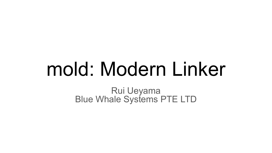# mold: Modern Linker

Rui Ueyama Blue Whale Systems PTE LTD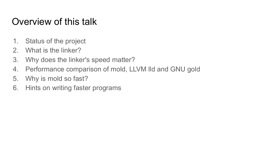#### Overview of this talk

- 1. Status of the project
- 2. What is the linker?
- 3. Why does the linker's speed matter?
- 4. Performance comparison of mold, LLVM lld and GNU gold
- 5. Why is mold so fast?
- 6. Hints on writing faster programs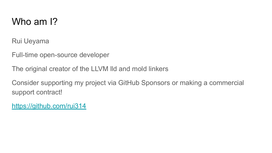#### Who am I?

Rui Ueyama

Full-time open-source developer

The original creator of the LLVM lld and mold linkers

Consider supporting my project via GitHub Sponsors or making a commercial support contract!

<https://github.com/rui314>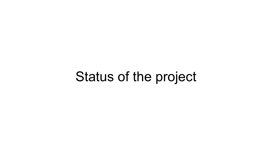# Status of the project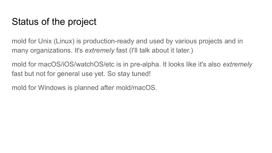#### Status of the project

mold for Unix (Linux) is production-ready and used by various projects and in many organizations. It's *extremely* fast (I'll talk about it later.)

mold for macOS/iOS/watchOS/etc is in pre-alpha. It looks like it's also *extremely* fast but not for general use yet. So stay tuned!

mold for Windows is planned after mold/macOS.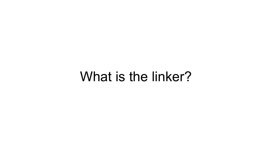# What is the linker?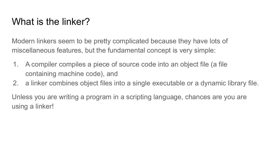### What is the linker?

Modern linkers seem to be pretty complicated because they have lots of miscellaneous features, but the fundamental concept is very simple:

- 1. A compiler compiles a piece of source code into an object file (a file containing machine code), and
- 2. a linker combines object files into a single executable or a dynamic library file.

Unless you are writing a program in a scripting language, chances are you are using a linker!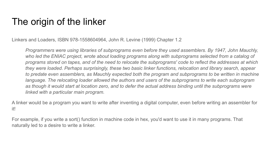#### The origin of the linker

Linkers and Loaders, ISBN 978-1558604964, John R. Levine (1999) Chapter 1.2

*Programmers were using libraries of subprograms even before they used assemblers. By 1947, John Mauchly, who led the ENIAC project, wrote about loading programs along with subprograms selected from a catalog of programs stored on tapes, and of the need to relocate the subprograms' code to reflect the addresses at which they were loaded. Perhaps surprisingly, these two basic linker functions, relocation and library search, appear to predate even assemblers, as Mauchly expected both the program and subprograms to be written in machine language. The relocating loader allowed the authors and users of the subprograms to write each subprogram as though it would start at location zero, and to defer the actual address binding until the subprograms were linked with a particular main program.*

A linker would be a program you want to write after inventing a digital computer, even before writing an assembler for it!

For example, if you write a sort() function in machine code in hex, you'd want to use it in many programs. That naturally led to a desire to write a linker.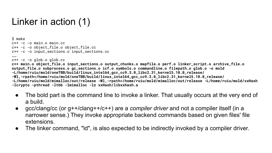### Linker in action (1)

\$ make c++ -c -o main.o main.cc c++ -c -o object\_file.o object\_file.cc c++ -c -o input\_sections.o input\_sections.cc …… c++ -c -o glob.o glob.cc **c++ main.o object\_file.o input\_sections.o output\_chunks.o mapfile.o perf.o linker\_script.o archive\_file.o output\_file.o subprocess.o gc\_sections.o icf.o symbols.o commandline.o filepath.o glob.o -o mold -L/home/ruiu/mold/oneTBB/build/linux\_intel64\_gcc\_cc9.3.0\_libc2.31\_kernel5.10.0\_release/ -Wl,-rpath=/home/ruiu/mold/oneTBB/build/linux\_intel64\_gcc\_cc9.3.0\_libc2.31\_kernel5.10.0\_release/ -L/home/ruiu/mold/mimalloc/out/release -Wl,-rpath=/home/ruiu/mold/mimalloc/out/release -L/home/ruiu/mold/xxHash -lcrypto -pthread -ltbb -lmimalloc -lz xxHash/libxxhash.a**

- The bold part is the command line to invoke a linker. That usually occurs at the very end of a build.
- gcc/clang/cc (or g++/clang++/c++) are a *compiler driver* and not a compiler itself (in a narrower sense.) They invoke appropriate backend commands based on given files' file extensions.
- The linker command, "ld", is also expected to be indirectly invoked by a compiler driver.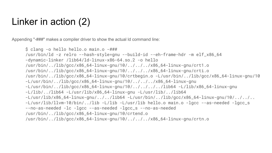#### Linker in action (2)

Appending "-###" makes a compiler driver to show the actual ld command line:

```
$ clang -o hello hello.o main.o -###
/usr/bin/ld -z relro --hash-style=gnu --build-id --eh-frame-hdr -m elf_x86_64 
-dynamic-linker /lib64/ld-linux-x86-64.so.2 -o hello 
/usr/bin/../lib/gcc/x86_64-linux-gnu/10/../../../x86_64-linux-gnu/crt1.o 
/usr/bin/../lib/gcc/x86_64-linux-gnu/10/../../../x86_64-linux-gnu/crti.o 
/usr/bin/../lib/gcc/x86_64-linux-gnu/10/crtbegin.o -L/usr/bin/../lib/gcc/x86_64-linux-gnu/10 
-L/usr/bin/../lib/gcc/x86_64-linux-gnu/10/../../../x86_64-linux-gnu 
-L/usr/bin/../lib/gcc/x86_64-linux-gnu/10/../../../../lib64 -L/lib/x86_64-linux-gnu 
-L/lib/../lib64 -L/usr/lib/x86_64-linux-gnu -L/usr/lib/../lib64 
-L/usr/lib/x86_64-linux-qnu/../lib64 -L/usr/bin/../lib/qcc/x86_64-linux-qnu/10/../../...-L/usr/lib/llvm-10/bin/../lib -L/lib -L/usr/lib hello.o main.o -lgcc --as-needed -lgcc_s 
--no-as-needed -lc -lgcc --as-needed -lgcc_s --no-as-needed 
/usr/bin/../lib/gcc/x86_64-linux-gnu/10/crtend.o 
/usr/bin/../lib/gcc/x86_64-linux-gnu/10/../../../x86_64-linux-gnu/crtn.o
```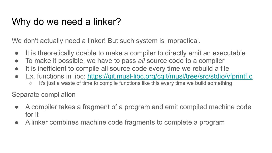#### Why do we need a linker?

We don't actually need a linker! But such system is impractical.

- It is theoretically doable to make a compiler to directly emit an executable
- To make it possible, we have to pass *all* source code to a compiler
- It is inefficient to compile all source code every time we rebuild a file
- Ex. functions in libc:<https://git.musl-libc.org/cgit/musl/tree/src/stdio/vfprintf.c>
	- It's just a waste of time to compile functions like this every time we build something

Separate compilation

- A compiler takes a fragment of a program and emit compiled machine code for it
- A linker combines machine code fragments to complete a program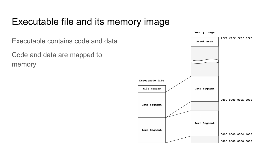#### Executable file and its memory image

Executable contains code and data

Code and data are mapped to memory

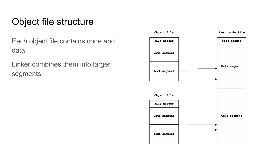### Object file structure

Each object file contains code and data

Linker combines them into larger segments

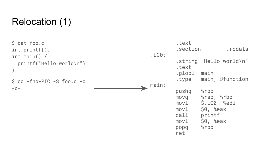### Relocation (1)

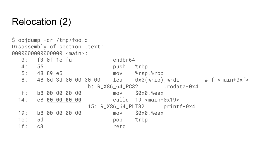#### Relocation (2)

\$ objdump -dr /tmp/foo.o Disassembly of section .text: 0000000000000000 <main>: 0: f3 0f 1e fa endbr64 4: 55 push %rbp 5: 48 89 e5 mov %rsp,%rbp 8: 48 8d 3d 00 00 00 00 lea 0x0(%rip),%rdi # f <main+0xf> b: R\_X86\_64\_PC32 .rodata-0x4 f: b8 00 00 00 00 mov \$0x0,%eax 14: e8 **00 00 00 00** callq 19 <main+0x19> 15: R\_X86\_64\_PLT32 printf-0x4 19: b8 00 00 00 00 mov \$0x0,%eax 1e: 5d pop %rbp 1f: c3 retq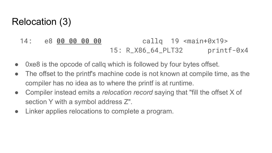#### Relocation (3)

- 14: e8 **00 00 00 00** callq 19 <main+0x19> 15: R\_X86\_64\_PLT32 printf-0x4
- Oxe8 is the opcode of callg which is followed by four bytes offset.
- The offset to the printf's machine code is not known at compile time, as the compiler has no idea as to where the printf is at runtime.
- Compiler instead emits a *relocation record* saying that "fill the offset X of section Y with a symbol address Z".
- Linker applies relocations to complete a program.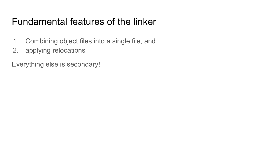#### Fundamental features of the linker

- 1. Combining object files into a single file, and
- 2. applying relocations

Everything else is secondary!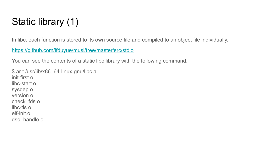# Static library (1)

In libc, each function is stored to its own source file and compiled to an object file individually.

<https://github.com/ifduyue/musl/tree/master/src/stdio>

You can see the contents of a static libc library with the following command:

\$ ar t /usr/lib/x86\_64-linux-gnu/libc.a init-first.o libc-start.o sysdep.o version.o check\_fds.o libc-tls.o elf-init.o dso handle.o

...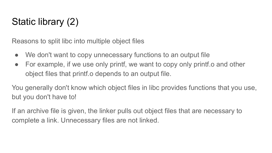# Static library (2)

Reasons to split libc into multiple object files

- We don't want to copy unnecessary functions to an output file
- For example, if we use only printf, we want to copy only printf o and other object files that printf.o depends to an output file.

You generally don't know which object files in libc provides functions that you use, but you don't have to!

If an archive file is given, the linker pulls out object files that are necessary to complete a link. Unnecessary files are not linked.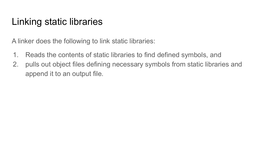#### Linking static libraries

A linker does the following to link static libraries:

- 1. Reads the contents of static libraries to find defined symbols, and
- 2. pulls out object files defining necessary symbols from static libraries and append it to an output file.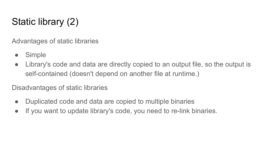# Static library (2)

Advantages of static libraries

- Simple
- Library's code and data are directly copied to an output file, so the output is self-contained (doesn't depend on another file at runtime.)

Disadvantages of static libraries

- Duplicated code and data are copied to multiple binaries
- If you want to update library's code, you need to re-link binaries.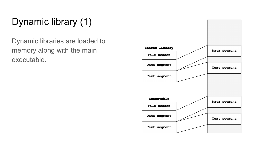# Dynamic library (1)

Dynamic libraries are loaded to memory along with the main executable.

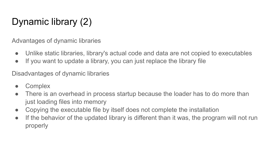# Dynamic library (2)

Advantages of dynamic libraries

- Unlike static libraries, library's actual code and data are not copied to executables
- If you want to update a library, you can just replace the library file

Disadvantages of dynamic libraries

- Complex
- There is an overhead in process startup because the loader has to do more than just loading files into memory
- Copying the executable file by itself does not complete the installation
- If the behavior of the updated library is different than it was, the program will not run properly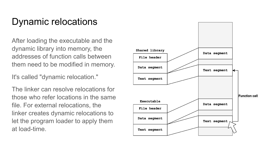#### Dynamic relocations

After loading the executable and the dynamic library into memory, the addresses of function calls between them need to be modified in memory.

It's called "dynamic relocation."

The linker can resolve relocations for those who refer locations in the same file. For external relocations, the linker creates dynamic relocations to let the program loader to apply them at load-time.

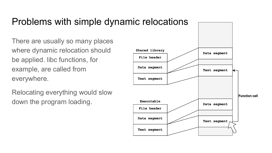#### Problems with simple dynamic relocations

There are usually so many places where dynamic relocation should be applied. libc functions, for example, are called from everywhere.

Relocating everything would slow down the program loading.

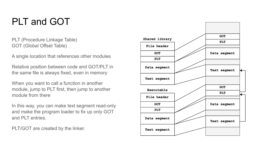### PLT and GOT

PLT (Procedure Linkage Table) GOT (Global Offset Table)

A single location that references other modules

Relative position between code and GOT/PLT in the same file is always fixed, even in memory

When you want to call a function in another module, jump to PLT first, then jump to another module from there

In this way, you can make text segment read-only and make the program loader to fix up only GOT and PLT entries.

PLT/GOT are created by the linker.

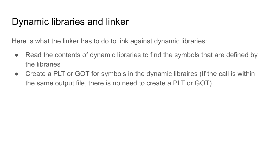#### Dynamic libraries and linker

Here is what the linker has to do to link against dynamic libraries:

- Read the contents of dynamic libraries to find the symbols that are defined by the libraries
- Create a PLT or GOT for symbols in the dynamic libraires (If the call is within the same output file, there is no need to create a PLT or GOT)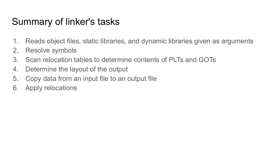#### Summary of linker's tasks

- 1. Reads object files, static libraries, and dynamic libraries given as arguments
- 2. Resolve symbols
- 3. Scan relocation tables to determine contents of PLTs and GOTs
- 4. Determine the layout of the output
- 5. Copy data from an input file to an output file
- 6. Apply relocations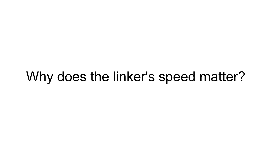# Why does the linker's speed matter?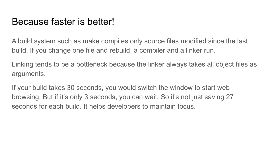#### Because faster is better!

A build system such as make compiles only source files modified since the last build. If you change one file and rebuild, a compiler and a linker run.

Linking tends to be a bottleneck because the linker always takes all object files as arguments.

If your build takes 30 seconds, you would switch the window to start web browsing. But if it's only 3 seconds, you can wait. So it's not just saving 27 seconds for each build. It helps developers to maintain focus.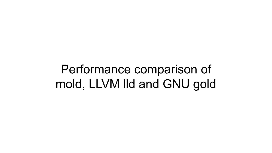# Performance comparison of mold, LLVM lld and GNU gold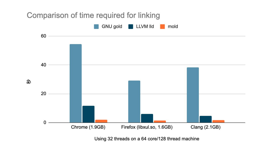

Using 32 threads on a 64 core/128 thread machine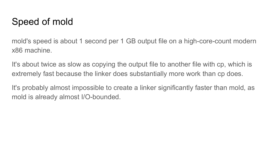#### Speed of mold

mold's speed is about 1 second per 1 GB output file on a high-core-count modern x86 machine.

It's about twice as slow as copying the output file to another file with cp, which is extremely fast because the linker does substantially more work than cp does.

It's probably almost impossible to create a linker significantly faster than mold, as mold is already almost I/O-bounded.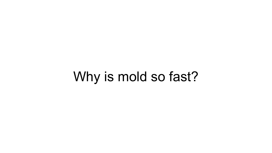# Why is mold so fast?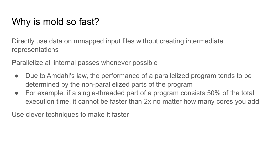### Why is mold so fast?

Directly use data on mmapped input files without creating intermediate representations

Parallelize all internal passes whenever possible

- Due to Amdahl's law, the performance of a parallelized program tends to be determined by the non-parallelized parts of the program
- For example, if a single-threaded part of a program consists 50% of the total execution time, it cannot be faster than 2x no matter how many cores you add

Use clever techniques to make it faster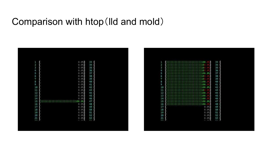#### Comparison with htop(lld and mold)



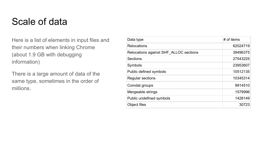#### Scale of data

Here is a list of elements in input files and their numbers when linking Chrome (about 1.9 GB with debugging information)

There is a large amount of data of the same type, sometimes in the order of millions.

| Data type                              | # of items |
|----------------------------------------|------------|
| Relocations                            | 62024719   |
| Relocations against SHF ALLOC sections | 39496375   |
| Sections                               | 27543225   |
| Symbols                                | 23953607   |
| Public defined symbols                 | 10512135   |
| Regular sections                       | 10345314   |
| Comdat groups                          | 9914510    |
| Mergeable strings                      | 1579996    |
| Public undefined symbols               | 1428149    |
| Object files                           | 30723      |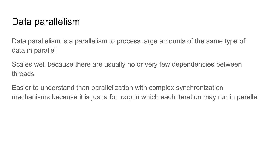#### Data parallelism

Data parallelism is a parallelism to process large amounts of the same type of data in parallel

Scales well because there are usually no or very few dependencies between threads

Easier to understand than parallelization with complex synchronization mechanisms because it is just a for loop in which each iteration may run in parallel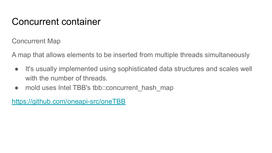#### Concurrent container

Concurrent Map

A map that allows elements to be inserted from multiple threads simultaneously

- It's usually implemented using sophisticated data structures and scales well with the number of threads.
- mold uses Intel TBB's tbb::concurrent hash map

<https://github.com/oneapi-src/oneTBB>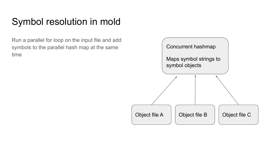#### Symbol resolution in mold

Run a parallel for loop on the input file and add symbols to the parallel hash map at the same time

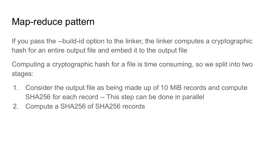#### Map-reduce pattern

If you pass the --build-id option to the linker, the linker computes a cryptographic hash for an entire output file and embed it to the output file

Computing a cryptographic hash for a file is time consuming, so we split into two stages:

- 1. Consider the output file as being made up of 10 MiB records and compute SHA256 for each record -- This step can be done in parallel
- 2. Compute a SHA256 of SHA256 records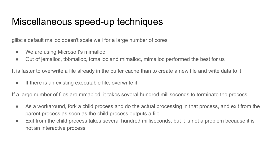#### Miscellaneous speed-up techniques

glibc's default malloc doesn't scale well for a large number of cores

- We are using Microsoft's mimalloc
- Out of jemalloc, tbbmalloc, tcmalloc and mimalloc, mimalloc performed the best for us

It is faster to overwrite a file already in the buffer cache than to create a new file and write data to it

● If there is an existing executable file, overwrite it.

If a large number of files are mmap'ed, it takes several hundred milliseconds to terminate the process

- As a workaround, fork a child process and do the actual processing in that process, and exit from the parent process as soon as the child process outputs a file
- Exit from the child process takes several hundred milliseconds, but it is not a problem because it is not an interactive process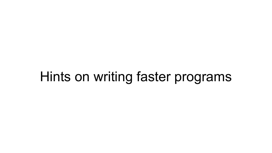# Hints on writing faster programs